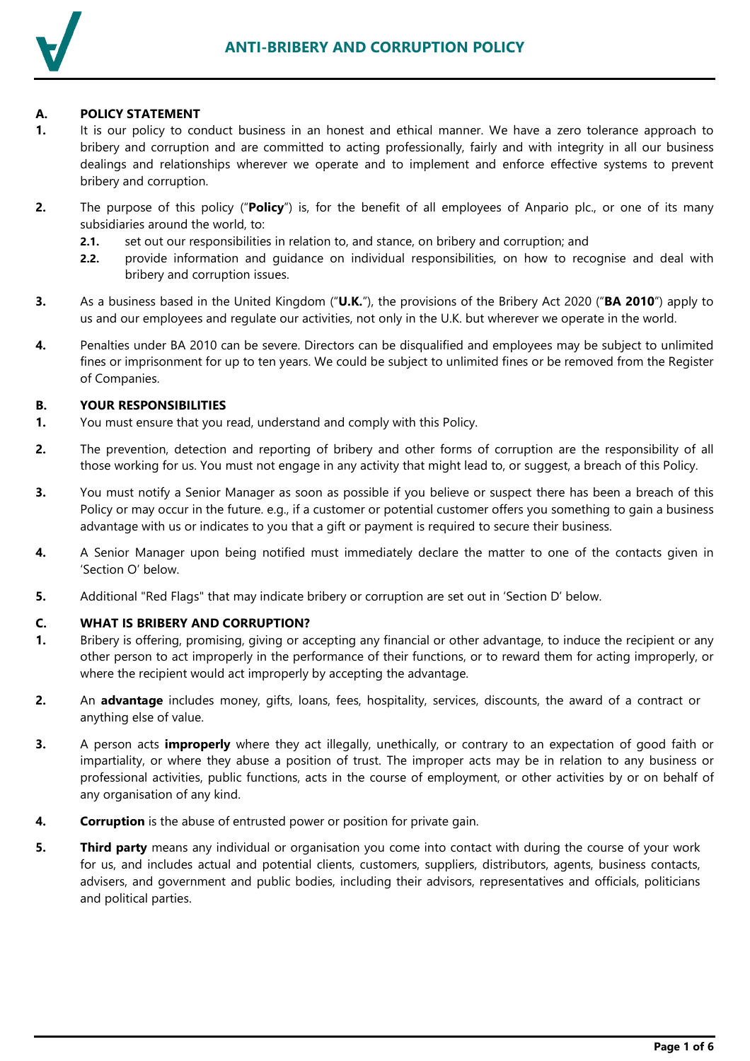

### **A. POLICY STATEMENT**

- **1.** It is our policy to conduct business in an honest and ethical manner. We have a zero tolerance approach to bribery and corruption and are committed to acting professionally, fairly and with integrity in all our business dealings and relationships wherever we operate and to implement and enforce effective systems to prevent bribery and corruption.
- **2.** The purpose of this policy ("**Policy**") is, for the benefit of all employees of Anpario plc., or one of its many subsidiaries around the world, to:
	- **2.1.** set out our responsibilities in relation to, and stance, on bribery and corruption; and
	- **2.2.** provide information and guidance on individual responsibilities, on how to recognise and deal with bribery and corruption issues.
- **3.** As a business based in the United Kingdom ("**U.K.**"), the provisions of the Bribery Act 2020 ("**BA 2010**") apply to us and our employees and regulate our activities, not only in the U.K. but wherever we operate in the world.
- **4.** Penalties under BA 2010 can be severe. Directors can be disqualified and employees may be subject to unlimited fines or imprisonment for up to ten years. We could be subject to unlimited fines or be removed from the Register of Companies.

#### **B. YOUR RESPONSIBILITIES**

- **1.** You must ensure that you read, understand and comply with this Policy.
- **2.** The prevention, detection and reporting of bribery and other forms of corruption are the responsibility of all those working for us. You must not engage in any activity that might lead to, or suggest, a breach of this Policy.
- **3.** You must notify a Senior Manager as soon as possible if you believe or suspect there has been a breach of this Policy or may occur in the future. e.g., if a customer or potential customer offers you something to gain a business advantage with us or indicates to you that a gift or payment is required to secure their business.
- **4.** A Senior Manager upon being notified must immediately declare the matter to one of the contacts given in 'Section [O'](#page-5-0) below.
- **5.** Additional "Red Flags" that may indicate bribery or corruption are set out in 'Section [D'](#page-1-0) below.

#### **C. WHAT IS BRIBERY AND CORRUPTION?**

- **1.** Bribery is offering, promising, giving or accepting any financial or other advantage, to induce the recipient or any other person to act improperly in the performance of their functions, or to reward them for acting improperly, or where the recipient would act improperly by accepting the advantage.
- **2.** An **advantage** includes money, gifts, loans, fees, hospitality, services, discounts, the award of a contract or anything else of value.
- **3.** A person acts **improperly** where they act illegally, unethically, or contrary to an expectation of good faith or impartiality, or where they abuse a position of trust. The improper acts may be in relation to any business or professional activities, public functions, acts in the course of employment, or other activities by or on behalf of any organisation of any kind.
- **4. Corruption** is the abuse of entrusted power or position for private gain.
- **5. Third party** means any individual or organisation you come into contact with during the course of your work for us, and includes actual and potential clients, customers, suppliers, distributors, agents, business contacts, advisers, and government and public bodies, including their advisors, representatives and officials, politicians and political parties.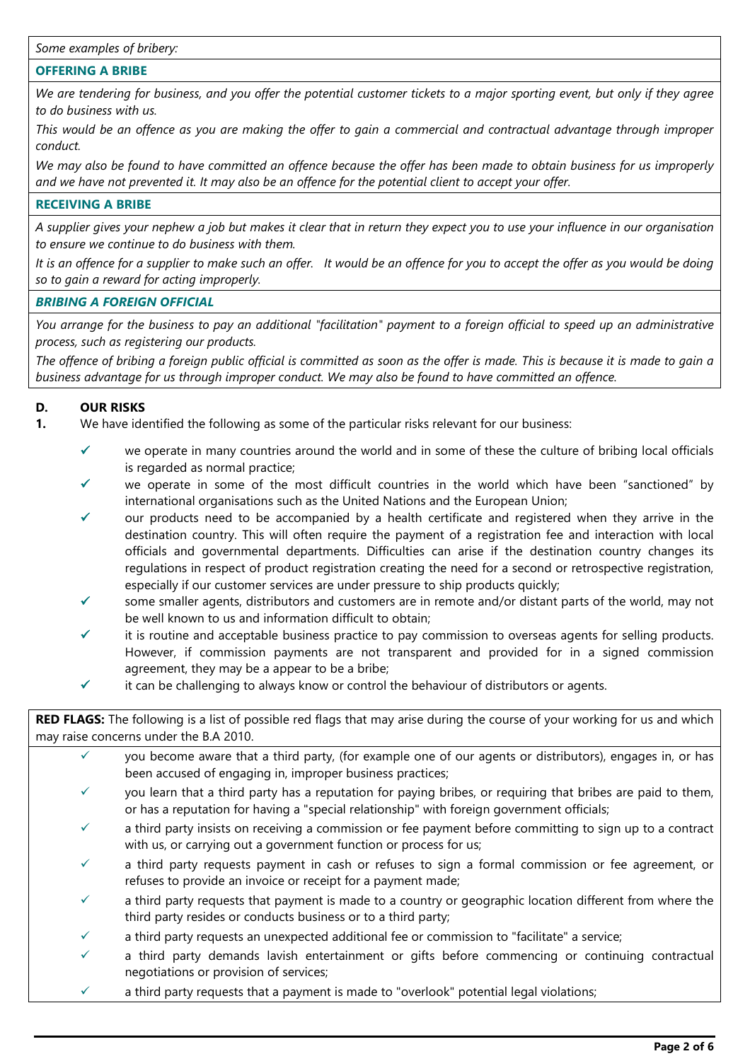#### **OFFERING A BRIBE**

*We are tendering for business, and you offer the potential customer tickets to a major sporting event, but only if they agree to do business with us.*

*This would be an offence as you are making the offer to gain a commercial and contractual advantage through improper conduct.* 

*We may also be found to have committed an offence because the offer has been made to obtain business for us improperly and we have not prevented it. It may also be an offence for the potential client to accept your offer.*

#### **RECEIVING A BRIBE**

*A supplier gives your nephew a job but makes it clear that in return they expect you to use your influence in our organisation to ensure we continue to do business with them.*

*It is an offence for a supplier to make such an offer. It would be an offence for you to accept the offer as you would be doing so to gain a reward for acting improperly.*

#### *BRIBING A FOREIGN OFFICIAL*

*You arrange for the business to pay an additional "facilitation" payment to a foreign official to speed up an administrative process, such as registering our products.*

*The offence of bribing a foreign public official is committed as soon as the offer is made. This is because it is made to gain a business advantage for us through improper conduct. We may also be found to have committed an offence.*

### <span id="page-1-0"></span>**D. OUR RISKS**

- **1.** We have identified the following as some of the particular risks relevant for our business:
	- $\checkmark$  we operate in many countries around the world and in some of these the culture of bribing local officials is regarded as normal practice;
	- we operate in some of the most difficult countries in the world which have been "sanctioned" by international organisations such as the United Nations and the European Union;
	- our products need to be accompanied by a health certificate and registered when they arrive in the destination country. This will often require the payment of a registration fee and interaction with local officials and governmental departments. Difficulties can arise if the destination country changes its regulations in respect of product registration creating the need for a second or retrospective registration, especially if our customer services are under pressure to ship products quickly;
	- some smaller agents, distributors and customers are in remote and/or distant parts of the world, may not be well known to us and information difficult to obtain;
	- it is routine and acceptable business practice to pay commission to overseas agents for selling products. However, if commission payments are not transparent and provided for in a signed commission agreement, they may be a appear to be a bribe;
	- $\checkmark$  it can be challenging to always know or control the behaviour of distributors or agents.

### **RED FLAGS:** The following is a list of possible red flags that may arise during the course of your working for us and which may raise concerns under the B.A 2010.

- you become aware that a third party, (for example one of our agents or distributors), engages in, or has been accused of engaging in, improper business practices;
- $\checkmark$  you learn that a third party has a reputation for paying bribes, or requiring that bribes are paid to them, or has a reputation for having a "special relationship" with foreign government officials;
- a third party insists on receiving a commission or fee payment before committing to sign up to a contract with us, or carrying out a government function or process for us;
- a third party requests payment in cash or refuses to sign a formal commission or fee agreement, or refuses to provide an invoice or receipt for a payment made;
- a third party requests that payment is made to a country or geographic location different from where the third party resides or conducts business or to a third party;
- a third party requests an unexpected additional fee or commission to "facilitate" a service;
- a third party demands lavish entertainment or gifts before commencing or continuing contractual negotiations or provision of services;
- a third party requests that a payment is made to "overlook" potential legal violations;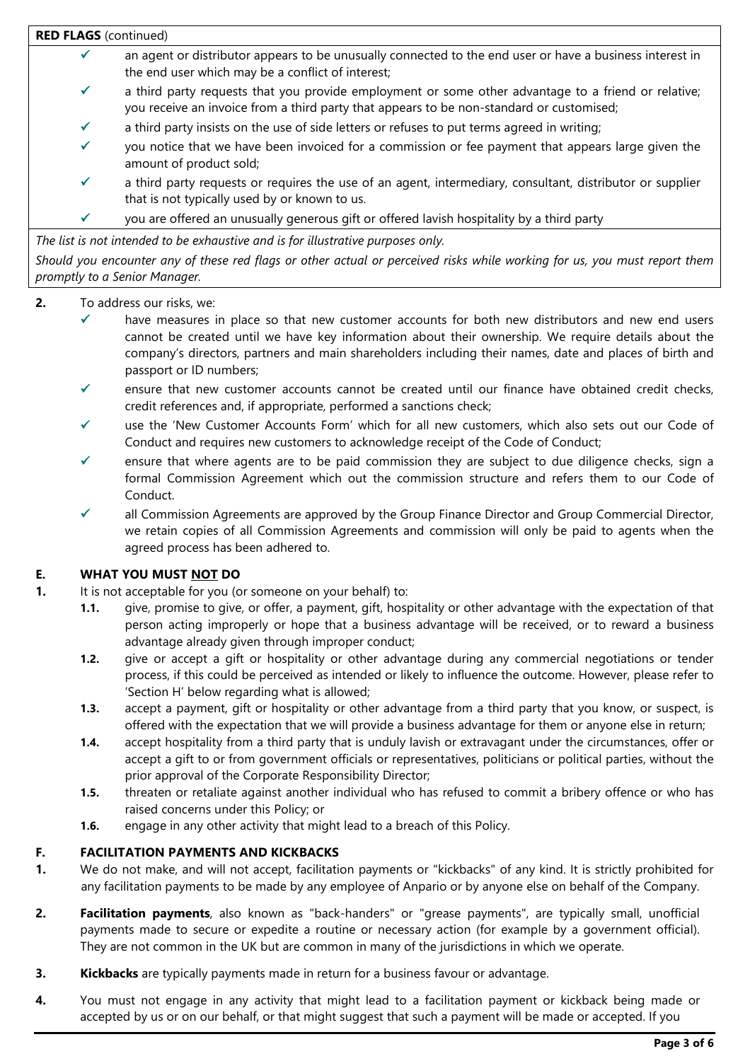**RED FLAGS** (continued)

- $\checkmark$  an agent or distributor appears to be unusually connected to the end user or have a business interest in the end user which may be a conflict of interest;
- a third party requests that you provide employment or some other advantage to a friend or relative; you receive an invoice from a third party that appears to be non-standard or customised;
- a third party insists on the use of side letters or refuses to put terms agreed in writing;
- you notice that we have been invoiced for a commission or fee payment that appears large given the amount of product sold;
- a third party requests or requires the use of an agent, intermediary, consultant, distributor or supplier that is not typically used by or known to us.
- $\checkmark$  you are offered an unusually generous gift or offered lavish hospitality by a third party

*The list is not intended to be exhaustive and is for illustrative purposes only.*

*Should you encounter any of these red flags or other actual or perceived risks while working for us, you must report them promptly to a Senior Manager.* 

- **2.** To address our risks, we:
	- $\checkmark$  have measures in place so that new customer accounts for both new distributors and new end users cannot be created until we have key information about their ownership. We require details about the company's directors, partners and main shareholders including their names, date and places of birth and passport or ID numbers;
	- $\checkmark$  ensure that new customer accounts cannot be created until our finance have obtained credit checks, credit references and, if appropriate, performed a sanctions check;
	- use the 'New Customer Accounts Form' which for all new customers, which also sets out our Code of Conduct and requires new customers to acknowledge receipt of the Code of Conduct;
	- ensure that where agents are to be paid commission they are subject to due diligence checks, sign a formal Commission Agreement which out the commission structure and refers them to our Code of Conduct.
	- all Commission Agreements are approved by the Group Finance Director and Group Commercial Director, we retain copies of all Commission Agreements and commission will only be paid to agents when the agreed process has been adhered to.

# **E. WHAT YOU MUST NOT DO**

- **1.** It is not acceptable for you (or someone on your behalf) to:
	- **1.1.** give, promise to give, or offer, a payment, gift, hospitality or other advantage with the expectation of that person acting improperly or hope that a business advantage will be received, or to reward a business advantage already given through improper conduct;
	- **1.2.** give or accept a gift or hospitality or other advantage during any commercial negotiations or tender process, if this could be perceived as intended or likely to influence the outcome. However, please refer to 'Section [H'](#page-3-0) below regarding what is allowed;
	- **1.3.** accept a payment, gift or hospitality or other advantage from a third party that you know, or suspect, is offered with the expectation that we will provide a business advantage for them or anyone else in return;
	- **1.4.** accept hospitality from a third party that is unduly lavish or extravagant under the circumstances, offer or accept a gift to or from government officials or representatives, politicians or political parties, without the prior approval of the Corporate Responsibility Director;
	- **1.5.** threaten or retaliate against another individual who has refused to commit a bribery offence or who has raised concerns under this Policy; or
	- **1.6.** engage in any other activity that might lead to a breach of this Policy.

# **F. FACILITATION PAYMENTS AND KICKBACKS**

- **1.** We do not make, and will not accept, facilitation payments or "kickbacks" of any kind. It is strictly prohibited for any facilitation payments to be made by any employee of Anpario or by anyone else on behalf of the Company.
- **2. Facilitation payments**, also known as "back-handers" or "grease payments", are typically small, unofficial payments made to secure or expedite a routine or necessary action (for example by a government official). They are not common in the UK but are common in many of the jurisdictions in which we operate.
- **3. Kickbacks** are typically payments made in return for a business favour or advantage.
- **4.** You must not engage in any activity that might lead to a facilitation payment or kickback being made or accepted by us or on our behalf, or that might suggest that such a payment will be made or accepted. If you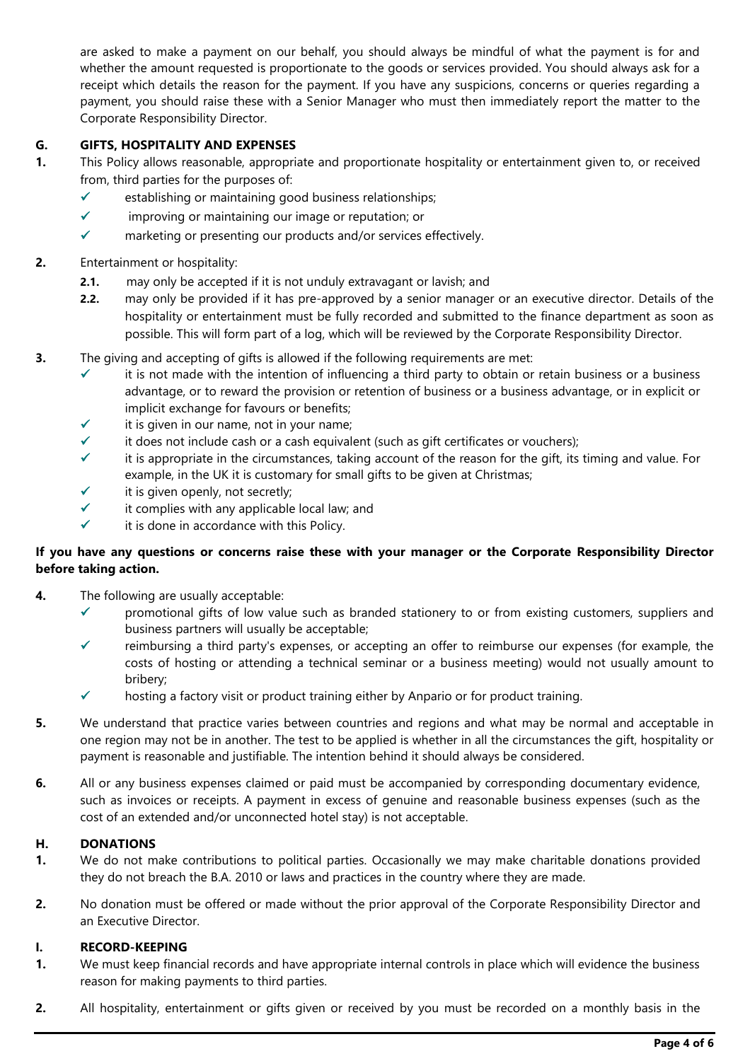are asked to make a payment on our behalf, you should always be mindful of what the payment is for and whether the amount requested is proportionate to the goods or services provided. You should always ask for a receipt which details the reason for the payment. If you have any suspicions, concerns or queries regarding a payment, you should raise these with a Senior Manager who must then immediately report the matter to the Corporate Responsibility Director.

# **G. GIFTS, HOSPITALITY AND EXPENSES**

- **1.** This Policy allows reasonable, appropriate and proportionate hospitality or entertainment given to, or received from, third parties for the purposes of:
	- $\checkmark$  establishing or maintaining good business relationships;
	- $\checkmark$  improving or maintaining our image or reputation; or
	- $\checkmark$  marketing or presenting our products and/or services effectively.

# **2.** Entertainment or hospitality:

- **2.1.** may only be accepted if it is not unduly extravagant or lavish; and
- **2.2.** may only be provided if it has pre-approved by a senior manager or an executive director. Details of the hospitality or entertainment must be fully recorded and submitted to the finance department as soon as possible. This will form part of a log, which will be reviewed by the Corporate Responsibility Director.
- **3.** The giving and accepting of gifts is allowed if the following requirements are met:
	- $\checkmark$  it is not made with the intention of influencing a third party to obtain or retain business or a business advantage, or to reward the provision or retention of business or a business advantage, or in explicit or implicit exchange for favours or benefits;
	- it is given in our name, not in your name;
	- $\checkmark$  it does not include cash or a cash equivalent (such as gift certificates or vouchers);
	- it is appropriate in the circumstances, taking account of the reason for the gift, its timing and value. For example, in the UK it is customary for small gifts to be given at Christmas;
	- $\checkmark$  it is given openly, not secretly;
	- it complies with any applicable local law; and
	- it is done in accordance with this Policy.

# **If you have any questions or concerns raise these with your manager or the Corporate Responsibility Director before taking action.**

- **4.** The following are usually acceptable:
	- $\checkmark$  promotional gifts of low value such as branded stationery to or from existing customers, suppliers and business partners will usually be acceptable;
	- $\checkmark$  reimbursing a third party's expenses, or accepting an offer to reimburse our expenses (for example, the costs of hosting or attending a technical seminar or a business meeting) would not usually amount to bribery;
	- $\checkmark$  hosting a factory visit or product training either by Anpario or for product training.
- **5.** We understand that practice varies between countries and regions and what may be normal and acceptable in one region may not be in another. The test to be applied is whether in all the circumstances the gift, hospitality or payment is reasonable and justifiable. The intention behind it should always be considered.
- **6.** All or any business expenses claimed or paid must be accompanied by corresponding documentary evidence, such as invoices or receipts. A payment in excess of genuine and reasonable business expenses (such as the cost of an extended and/or unconnected hotel stay) is not acceptable.

# <span id="page-3-0"></span>**H. DONATIONS**

- **1.** We do not make contributions to political parties. Occasionally we may make charitable donations provided they do not breach the B.A. 2010 or laws and practices in the country where they are made.
- **2.** No donation must be offered or made without the prior approval of the Corporate Responsibility Director and an Executive Director.

# **I. RECORD-KEEPING**

- **1.** We must keep financial records and have appropriate internal controls in place which will evidence the business reason for making payments to third parties.
- **2.** All hospitality, entertainment or gifts given or received by you must be recorded on a monthly basis in the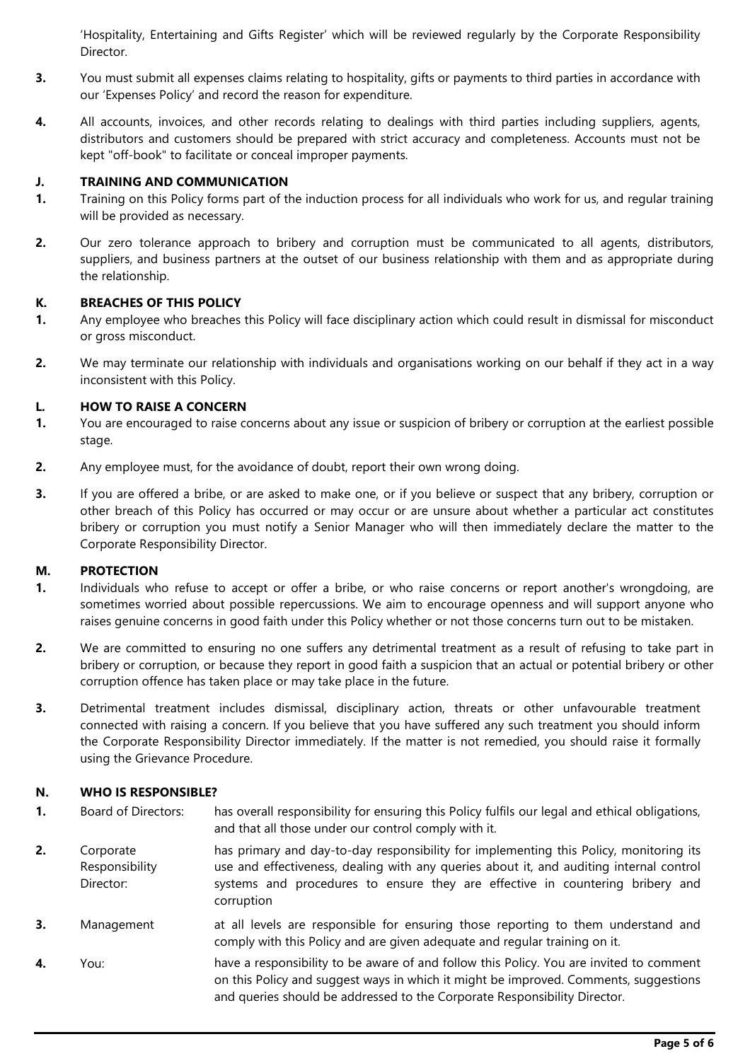'Hospitality, Entertaining and Gifts Register' which will be reviewed regularly by the Corporate Responsibility Director.

- **3.** You must submit all expenses claims relating to hospitality, gifts or payments to third parties in accordance with our 'Expenses Policy' and record the reason for expenditure.
- **4.** All accounts, invoices, and other records relating to dealings with third parties including suppliers, agents, distributors and customers should be prepared with strict accuracy and completeness. Accounts must not be kept "off-book" to facilitate or conceal improper payments.

# **J. TRAINING AND COMMUNICATION**

- **1.** Training on this Policy forms part of the induction process for all individuals who work for us, and regular training will be provided as necessary.
- **2.** Our zero tolerance approach to bribery and corruption must be communicated to all agents, distributors, suppliers, and business partners at the outset of our business relationship with them and as appropriate during the relationship.

### **K. BREACHES OF THIS POLICY**

- **1.** Any employee who breaches this Policy will face disciplinary action which could result in dismissal for misconduct or gross misconduct.
- **2.** We may terminate our relationship with individuals and organisations working on our behalf if they act in a way inconsistent with this Policy.

### **L. HOW TO RAISE A CONCERN**

- **1.** You are encouraged to raise concerns about any issue or suspicion of bribery or corruption at the earliest possible stage.
- **2.** Any employee must, for the avoidance of doubt, report their own wrong doing.
- **3.** If you are offered a bribe, or are asked to make one, or if you believe or suspect that any bribery, corruption or other breach of this Policy has occurred or may occur or are unsure about whether a particular act constitutes bribery or corruption you must notify a Senior Manager who will then immediately declare the matter to the Corporate Responsibility Director.

#### **M. PROTECTION**

- **1.** Individuals who refuse to accept or offer a bribe, or who raise concerns or report another's wrongdoing, are sometimes worried about possible repercussions. We aim to encourage openness and will support anyone who raises genuine concerns in good faith under this Policy whether or not those concerns turn out to be mistaken.
- **2.** We are committed to ensuring no one suffers any detrimental treatment as a result of refusing to take part in bribery or corruption, or because they report in good faith a suspicion that an actual or potential bribery or other corruption offence has taken place or may take place in the future.
- **3.** Detrimental treatment includes dismissal, disciplinary action, threats or other unfavourable treatment connected with raising a concern. If you believe that you have suffered any such treatment you should inform the Corporate Responsibility Director immediately. If the matter is not remedied, you should raise it formally using the Grievance Procedure.

# **N. WHO IS RESPONSIBLE?**

- **1.** Board of Directors: has overall responsibility for ensuring this Policy fulfils our legal and ethical obligations, and that all those under our control comply with it.
- **2.** Corporate Responsibility Director: has primary and day-to-day responsibility for implementing this Policy, monitoring its use and effectiveness, dealing with any queries about it, and auditing internal control systems and procedures to ensure they are effective in countering bribery and corruption
- **3.** Management at all levels are responsible for ensuring those reporting to them understand and comply with this Policy and are given adequate and regular training on it.
- **4.** You: have a responsibility to be aware of and follow this Policy. You are invited to comment on this Policy and suggest ways in which it might be improved. Comments, suggestions and queries should be addressed to the Corporate Responsibility Director.